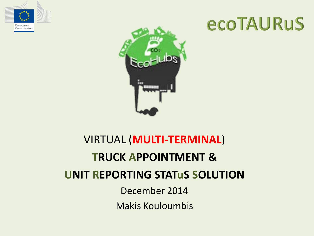





### VIRTUAL (**MULTI-TERMINAL**) **TRUCK APPOINTMENT & UNIT REPORTING STATuS SOLUTION** December 2014

Makis Kouloumbis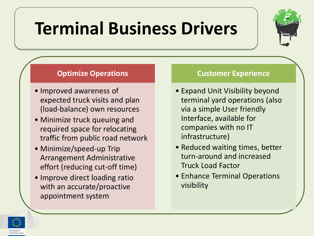# **Terminal Business Drivers**

#### **Optimize Operations**

- Improved awareness of expected truck visits and plan (load-balance) own resources
- Minimize truck queuing and required space for relocating traffic from public road network
- Minimize/speed-up Trip Arrangement Administrative effort (reducing cut-off time)
- Improve direct loading ratio with an accurate/proactive appointment system

#### **Customer Experience**

- Expand Unit Visibility beyond terminal yard operations (also via a simple User friendly Interface, available for companies with no IT infrastructure)
- Reduced waiting times, better turn-around and increased Truck Load Factor
- Enhance Terminal Operations visibility

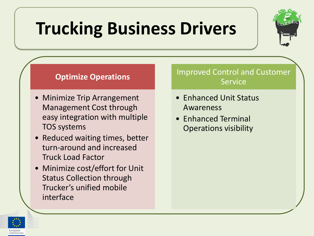# **Trucking Business Drivers**



#### **Optimize Operations**

- Minimize Trip Arrangement Management Cost through easy integration with multiple TOS systems
- Reduced waiting times, better turn-around and increased Truck Load Factor
- Minimize cost/effort for Unit Status Collection through Trucker's unified mobile interface

#### Improved Control and Customer **Service**

- Enhanced Unit Status Awareness
- Enhanced Terminal Operations visibility

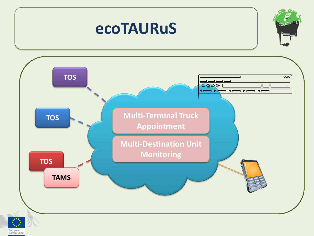

European

Commission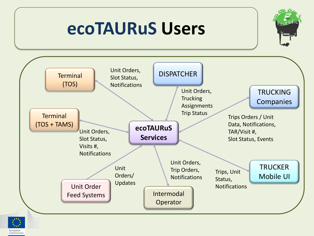

Europear Commissio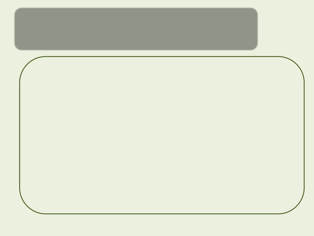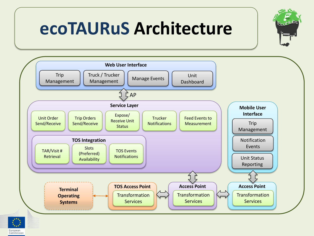### **ecoTAURuS Architecture**



European Commission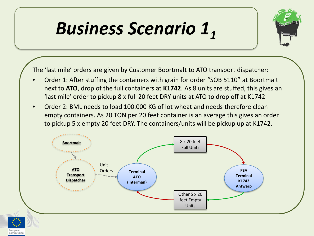# *Business Scenario 11*



The 'last mile' orders are given by Customer Boortmalt to ATO transport dispatcher:

- Order 1: After stuffing the containers with grain for order "SOB 5110" at Boortmalt next to **ATO**, drop of the full containers at **K1742**. As 8 units are stuffed, this gives an 'last mile' order to pickup 8 x full 20 feet DRY units at ATO to drop off at K1742
- Order 2: BML needs to load 100.000 KG of lot wheat and needs therefore clean empty containers. As 20 TON per 20 feet container is an average this gives an order to pickup 5 x empty 20 feet DRY. The containers/units will be pickup up at K1742.





Commission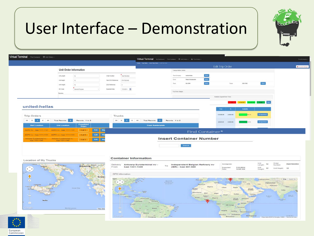

### User Interface – Demonstration

|                                                                       |                     |                                   |             |                     |            |                                                            |                                | Virtual Terminal My Dashboard First Container III Unit Orders - A Trip Orders - |                 |                             |            |                                |                                                   |  |
|-----------------------------------------------------------------------|---------------------|-----------------------------------|-------------|---------------------|------------|------------------------------------------------------------|--------------------------------|---------------------------------------------------------------------------------|-----------------|-----------------------------|------------|--------------------------------|---------------------------------------------------|--|
|                                                                       |                     |                                   |             |                     |            | Forms / Top Cinters / Enthalting Orders / Holt this Critic |                                |                                                                                 |                 |                             |            |                                |                                                   |  |
|                                                                       |                     | <b>Unit Order Information</b>     |             |                     |            |                                                            | <b>Transportation Details</b>  |                                                                                 |                 | Edit Trip Order             |            |                                |                                                   |  |
|                                                                       | Unit Length:        | $12 -$                            |             | Order Number:       | ROKFISOBIS |                                                            | Truck Company:                 | unted holes                                                                     | Select          |                             |            |                                |                                                   |  |
|                                                                       | Unit Height         | 12                                |             | Main DOS Reference: | ATH7050425 |                                                            | Criver.                        | <b>Pauco Pestopostos</b>                                                        |                 |                             |            |                                |                                                   |  |
|                                                                       | Unt Weght           | 12                                |             | DOS Reference:      | ÷          |                                                            | Truck                          | <b>BCA 5396</b>                                                                 |                 |                             | Trailer:   | NOK 7656                       | $\frac{\partial \mathbf{r}}{\partial \mathbf{r}}$ |  |
|                                                                       | ISO Code            | General Purpose                   |             | Expected Date:      | 2012014    |                                                            |                                |                                                                                 |                 |                             |            |                                |                                                   |  |
|                                                                       |                     |                                   |             |                     |            |                                                            | Trip Order Blages              |                                                                                 |                 |                             |            |                                |                                                   |  |
|                                                                       | Renarks:            |                                   |             |                     |            |                                                            |                                |                                                                                 |                 |                             |            |                                |                                                   |  |
| united-hellas                                                         |                     |                                   |             |                     |            |                                                            |                                |                                                                                 |                 | Available Appointment Times |            | simultant sincertified         | <b>Dack</b><br><b>Erger</b>                       |  |
| <b>Trip Orders</b>                                                    |                     |                                   |             | Trucks              |            |                                                            |                                |                                                                                 |                 | <b>From:</b><br>12.00.00 AM | 2,00,00 AM | Availability<br><b>DO D 16</b> | Dat Appointment                                   |  |
| HH<br>M<br>H<br>H.<br>$\blacksquare$                                  | Total Records: 3    | Records: 1 to 3                   |             | $H = H$             | H          | Total Records: 2<br>HH                                     | Records: 1 to 2                |                                                                                 |                 | 200,00 AM                   | 4:30:00.00 |                                | let Appointment                                   |  |
| <b>Start Location</b>                                                 | <b>End Location</b> | <b>Completed</b><br><b>Stages</b> |             |                     |            | <b>Truck Numberplate</b>                                   |                                |                                                                                 |                 |                             |            |                                |                                                   |  |
| ADPO nv - kaai 1111-1131 ADPO nv - kaai 1111-1131                     |                     | $0$ of 1                          | Edit<br>Map |                     |            |                                                            |                                |                                                                                 |                 |                             |            |                                |                                                   |  |
| ADPO nv - kaai 1111-1131 ADPO nv - kaai 1111-1131                     |                     | 0 of 2                            | Edit<br>Ma  |                     |            |                                                            |                                |                                                                                 | Find Container* |                             |            |                                |                                                   |  |
| Antwerp Euroterminal nv - Antwerp Euroterminal nv -<br>kaai 1331-1349 | kaai 1331-1349      | $0$ of 1                          | Edit<br>Ma  |                     |            |                                                            | <b>Insert Container Number</b> |                                                                                 |                 |                             |            |                                |                                                   |  |

#### Location of My Trucks



#### **Container Information**





Commission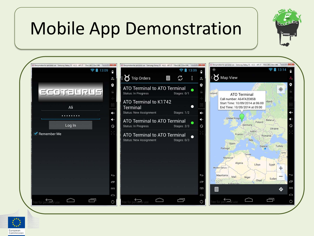### Mobile App Demonstration



European Commission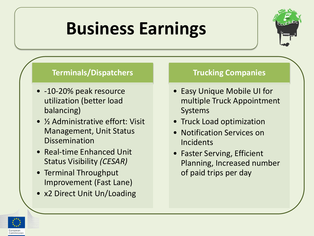## **Business Earnings**



#### **Terminals/Dispatchers**

- -10-20% peak resource utilization (better load balancing)
- ½ Administrative effort: Visit Management, Unit Status Dissemination
- Real-time Enhanced Unit Status Visibility *(CESAR)*
- Terminal Throughput Improvement (Fast Lane)
- x2 Direct Unit Un/Loading

### **Trucking Companies**

- Easy Unique Mobile UI for multiple Truck Appointment Systems
- Truck Load optimization
- Notification Services on Incidents
- Faster Serving, Efficient Planning, Increased number of paid trips per day

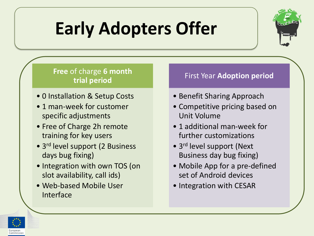# **Early Adopters Offer**



#### **Free** of charge **6 month trial period**

- 0 Installation & Setup Costs
- 1 man-week for customer specific adjustments
- Free of Charge 2h remote training for key users
- 3rd level support (2 Business days bug fixing)
- Integration with own TOS (on slot availability, call ids)
- Web-based Mobile User Interface

#### First Year **Adoption period**

- Benefit Sharing Approach
- Competitive pricing based on Unit Volume
- 1 additional man-week for further customizations
- 3<sup>rd</sup> level support (Next Business day bug fixing)
- Mobile App for a pre-defined set of Android devices
- Integration with CESAR

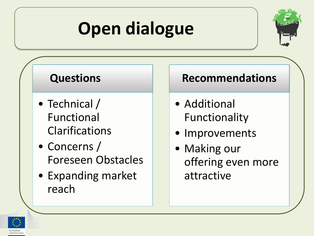# **Open dialogue**



### **Questions**

- Technical / Functional Clarifications
- Concerns / Foreseen Obstacles
- Expanding market reach

### **Recommendations**

- Additional Functionality
- Improvements
- Making our offering even more attractive